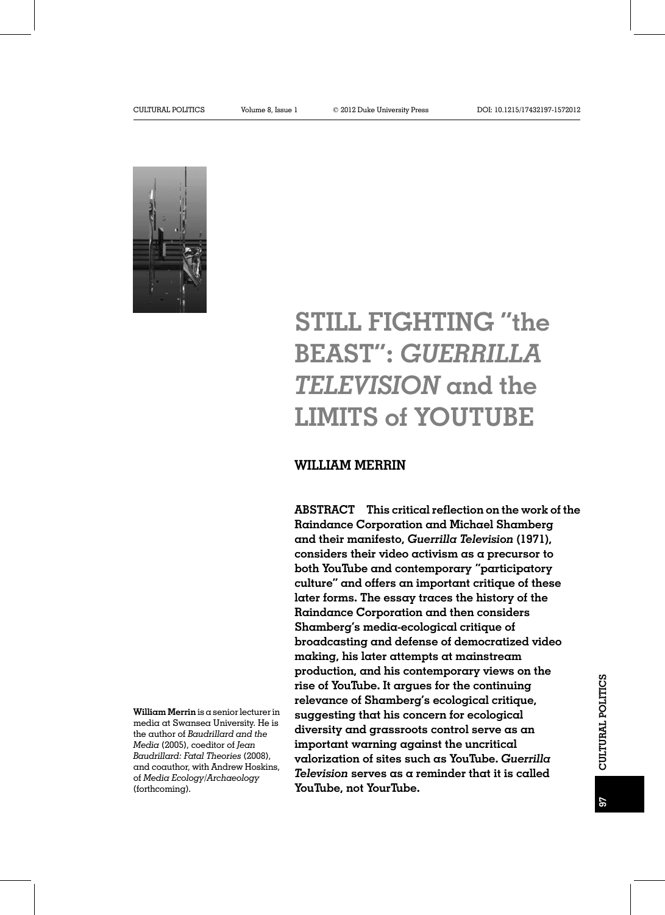

# STILL FIGHTING "the BEAST": GUERRILLA TELEVISION and the LIMITS of YOUTUBE

# WILLIAM MERRIN

ABSTRACT This critical reflection on the work of the Raindance Corporation and Michael Shamberg and their manifesto, Guerrilla Television (1971), considers their video activism as a precursor to both YouTube and contemporary "participatory culture" and offers an important critique of these later forms. The essay traces the history of the Raindance Corporation and then considers Shamberg's media-ecological critique of broadcasting and defense of democratized video making, his later attempts at mainstream production, and his contemporary views on the rise of YouTube. It argues for the continuing relevance of Shamberg's ecological critique, suggesting that his concern for ecological diversity and grassroots control serve as an important warning against the uncritical valorization of sites such as YouTube. Guerrilla Television serves as a reminder that it is called YouTube, not YourTube.

William Merrin is a senior lecturer in media at Swansea University. He is the author of Baudrillard and the Media (2005), coeditor of Jean Baudrillard: Fatal Theories (2008), and coauthor, with Andrew Hoskins, of Media Ecology/Archaeology (forthcoming).

CULTURAL POLITICS

CULTURAL POLITICS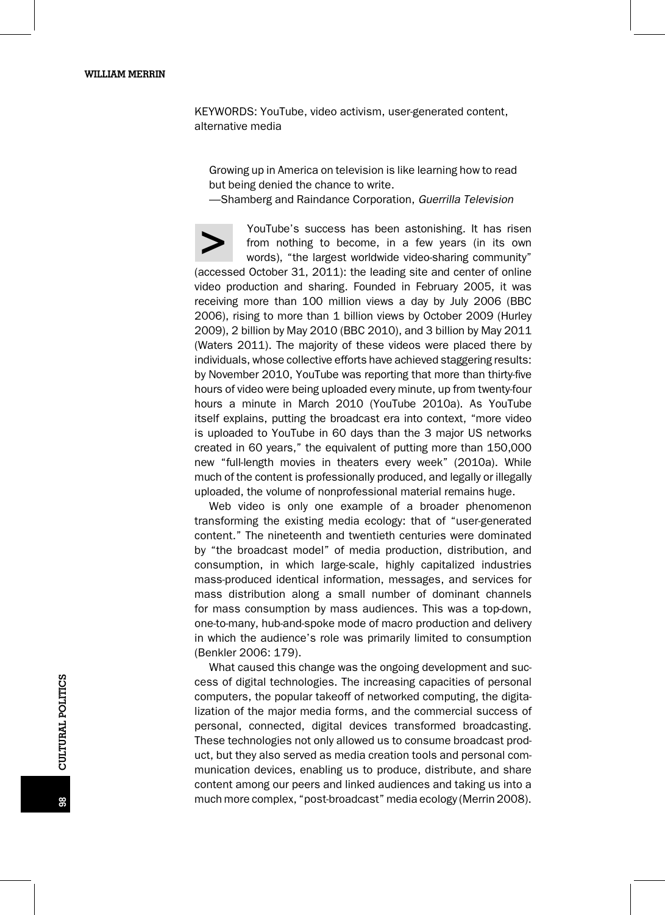KEYWORDS: YouTube, video activism, user-generated content, alternative media

Growing up in America on television is like learning how to read but being denied the chance to write.

—Shamberg and Raindance Corporation, Guerrilla Television

YouTube's success has been astonishing. It has risen<br>from nothing to become, in a few years (in its own<br>words), "the largest worldwide video-sharing community" from nothing to become, in a few years (in its own (accessed October 31, 2011): the leading site and center of online video production and sharing. Founded in February 2005, it was receiving more than 100 million views a day by July 2006 (BBC 2006), rising to more than 1 billion views by October 2009 (Hurley 2009), 2 billion by May 2010 (BBC 2010), and 3 billion by May 2011 (Waters 2011). The majority of these videos were placed there by individuals, whose collective efforts have achieved staggering results: by November 2010, YouTube was reporting that more than thirty-five hours of video were being uploaded every minute, up from twenty-four hours a minute in March 2010 (YouTube 2010a). As YouTube itself explains, putting the broadcast era into context, "more video is uploaded to YouTube in 60 days than the 3 major US networks created in 60 years," the equivalent of putting more than 150,000 new "full-length movies in theaters every week" (2010a). While much of the content is professionally produced, and legally or illegally uploaded, the volume of nonprofessional material remains huge.

Web video is only one example of a broader phenomenon transforming the existing media ecology: that of "user-generated content." The nineteenth and twentieth centuries were dominated by "the broadcast model" of media production, distribution, and consumption, in which large-scale, highly capitalized industries mass-produced identical information, messages, and services for mass distribution along a small number of dominant channels for mass consumption by mass audiences. This was a top-down, one-to-many, hub-and-spoke mode of macro production and delivery in which the audience's role was primarily limited to consumption (Benkler 2006: 179).

What caused this change was the ongoing development and success of digital technologies. The increasing capacities of personal computers, the popular takeoff of networked computing, the digitalization of the major media forms, and the commercial success of personal, connected, digital devices transformed broadcasting. These technologies not only allowed us to consume broadcast product, but they also served as media creation tools and personal communication devices, enabling us to produce, distribute, and share content among our peers and linked audiences and taking us into a much more complex, "post-broadcast" media ecology (Merrin 2008).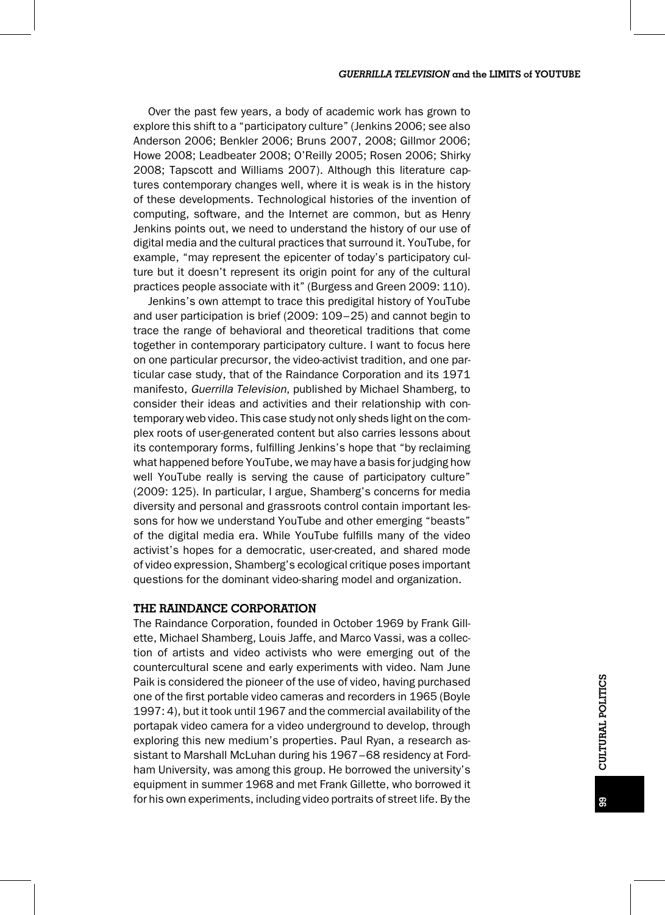Over the past few years, a body of academic work has grown to explore this shift to a "participatory culture" (Jenkins 2006; see also Anderson 2006; Benkler 2006; Bruns 2007, 2008; Gillmor 2006; Howe 2008; Leadbeater 2008; O'Reilly 2005; Rosen 2006; Shirky 2008; Tapscott and Williams 2007). Although this literature captures contemporary changes well, where it is weak is in the history of these developments. Technological histories of the invention of computing, software, and the Internet are common, but as Henry Jenkins points out, we need to understand the history of our use of digital media and the cultural practices that surround it. YouTube, for example, "may represent the epicenter of today's participatory culture but it doesn't represent its origin point for any of the cultural practices people associate with it" (Burgess and Green 2009: 110).

Jenkins's own attempt to trace this predigital history of YouTube and user participation is brief (2009: 109–25) and cannot begin to trace the range of behavioral and theoretical traditions that come together in contemporary participatory culture. I want to focus here on one particular precursor, the video-activist tradition, and one particular case study, that of the Raindance Corporation and its 1971 manifesto, Guerrilla Television, published by Michael Shamberg, to consider their ideas and activities and their relationship with contemporary web video. This case study not only sheds light on the complex roots of user-generated content but also carries lessons about its contemporary forms, fulfilling Jenkins's hope that "by reclaiming what happened before YouTube, we may have a basis for judging how well YouTube really is serving the cause of participatory culture" (2009: 125). In particular, I argue, Shamberg's concerns for media diversity and personal and grassroots control contain important lessons for how we understand YouTube and other emerging "beasts" of the digital media era. While YouTube fulfills many of the video activist's hopes for a democratic, user-created, and shared mode of video expression, Shamberg's ecological critique poses important questions for the dominant video-sharing model and organization.

## THE RAINDANCE CORPORATION

The Raindance Corporation, founded in October 1969 by Frank Gillette, Michael Shamberg, Louis Jaffe, and Marco Vassi, was a collection of artists and video activists who were emerging out of the countercultural scene and early experiments with video. Nam June Paik is considered the pioneer of the use of video, having purchased one of the first portable video cameras and recorders in 1965 (Boyle 1997: 4), but it took until 1967 and the commercial availability of the portapak video camera for a video underground to develop, through exploring this new medium's properties. Paul Ryan, a research assistant to Marshall McLuhan during his 1967–68 residency at Fordham University, was among this group. He borrowed the university's equipment in summer 1968 and met Frank Gillette, who borrowed it for his own experiments, including video portraits of street life. By the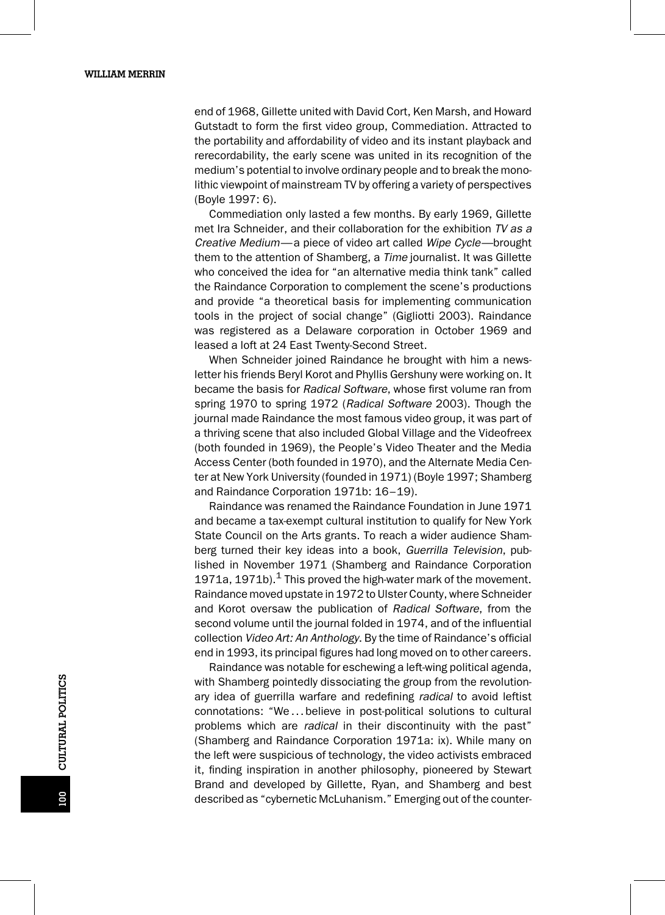end of 1968, Gillette united with David Cort, Ken Marsh, and Howard Gutstadt to form the first video group, Commediation. Attracted to the portability and affordability of video and its instant playback and rerecordability, the early scene was united in its recognition of the medium's potential to involve ordinary people and to break the monolithic viewpoint of mainstream TV by offering a variety of perspectives (Boyle 1997: 6).

Commediation only lasted a few months. By early 1969, Gillette met Ira Schneider, and their collaboration for the exhibition TV as a Creative Medium—a piece of video art called Wipe Cycle—brought them to the attention of Shamberg, a *Time* journalist. It was Gillette who conceived the idea for "an alternative media think tank" called the Raindance Corporation to complement the scene's productions and provide "a theoretical basis for implementing communication tools in the project of social change" (Gigliotti 2003). Raindance was registered as a Delaware corporation in October 1969 and leased a loft at 24 East Twenty-Second Street.

When Schneider joined Raindance he brought with him a newsletter his friends Beryl Korot and Phyllis Gershuny were working on. It became the basis for Radical Software, whose first volume ran from spring 1970 to spring 1972 (Radical Software 2003). Though the journal made Raindance the most famous video group, it was part of a thriving scene that also included Global Village and the Videofreex (both founded in 1969), the People's Video Theater and the Media Access Center (both founded in 1970), and the Alternate Media Center at New York University (founded in 1971) (Boyle 1997; Shamberg and Raindance Corporation 1971b: 16–19).

Raindance was renamed the Raindance Foundation in June 1971 and became a tax-exempt cultural institution to qualify for New York State Council on the Arts grants. To reach a wider audience Shamberg turned their key ideas into a book, Guerrilla Television, published in November 1971 (Shamberg and Raindance Corporation 1971a, 1971b).<sup>1</sup> This proved the high-water mark of the movement. Raindance moved upstate in 1972 to Ulster County, where Schneider and Korot oversaw the publication of Radical Software, from the second volume until the journal folded in 1974, and of the influential collection Video Art: An Anthology. By the time of Raindance's official end in 1993, its principal figures had long moved on to other careers.

Raindance was notable for eschewing a left-wing political agenda, with Shamberg pointedly dissociating the group from the revolutionary idea of guerrilla warfare and redefining radical to avoid leftist connotations: "We...believe in post-political solutions to cultural problems which are radical in their discontinuity with the past" (Shamberg and Raindance Corporation 1971a: ix). While many on the left were suspicious of technology, the video activists embraced it, finding inspiration in another philosophy, pioneered by Stewart Brand and developed by Gillette, Ryan, and Shamberg and best described as "cybernetic McLuhanism." Emerging out of the counter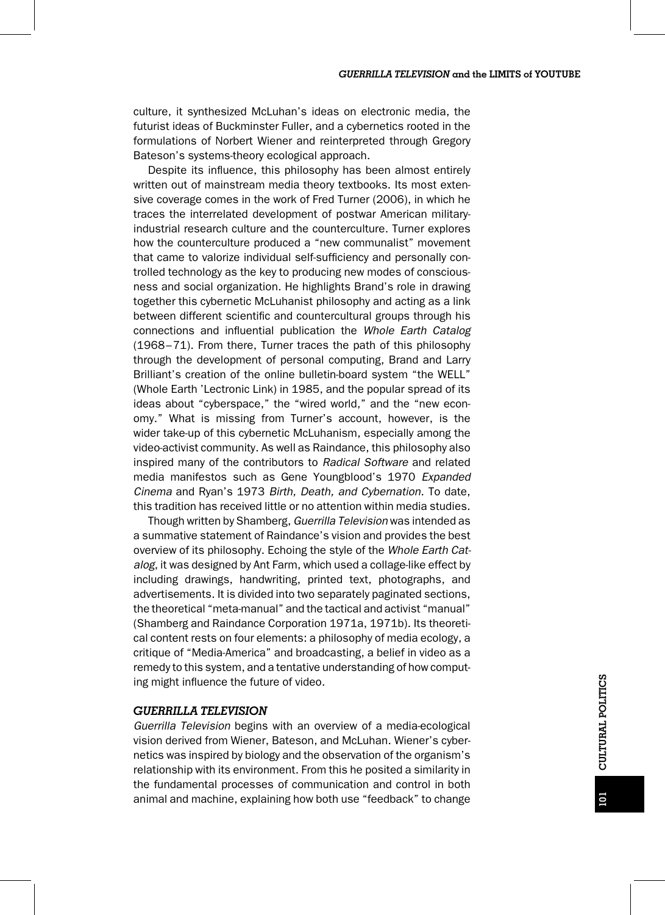culture, it synthesized McLuhan's ideas on electronic media, the futurist ideas of Buckminster Fuller, and a cybernetics rooted in the formulations of Norbert Wiener and reinterpreted through Gregory Bateson's systems-theory ecological approach.

Despite its influence, this philosophy has been almost entirely written out of mainstream media theory textbooks. Its most extensive coverage comes in the work of Fred Turner (2006), in which he traces the interrelated development of postwar American militaryindustrial research culture and the counterculture. Turner explores how the counterculture produced a "new communalist" movement that came to valorize individual self-sufficiency and personally controlled technology as the key to producing new modes of consciousness and social organization. He highlights Brand's role in drawing together this cybernetic McLuhanist philosophy and acting as a link between different scientific and countercultural groups through his connections and influential publication the Whole Earth Catalog (1968–71). From there, Turner traces the path of this philosophy through the development of personal computing, Brand and Larry Brilliant's creation of the online bulletin-board system "the WELL" (Whole Earth 'Lectronic Link) in 1985, and the popular spread of its ideas about "cyberspace," the "wired world," and the "new economy." What is missing from Turner's account, however, is the wider take-up of this cybernetic McLuhanism, especially among the video-activist community. As well as Raindance, this philosophy also inspired many of the contributors to Radical Software and related media manifestos such as Gene Youngblood's 1970 Expanded Cinema and Ryan's 1973 Birth, Death, and Cybernation. To date, this tradition has received little or no attention within media studies.

Though written by Shamberg, Guerrilla Television was intended as a summative statement of Raindance's vision and provides the best overview of its philosophy. Echoing the style of the Whole Earth Catalog, it was designed by Ant Farm, which used a collage-like effect by including drawings, handwriting, printed text, photographs, and advertisements. It is divided into two separately paginated sections, the theoretical "meta-manual" and the tactical and activist "manual" (Shamberg and Raindance Corporation 1971a, 1971b). Its theoretical content rests on four elements: a philosophy of media ecology, a critique of "Media-America" and broadcasting, a belief in video as a remedy to this system, and a tentative understanding of how computing might influence the future of video.

#### GUERRILLA TELEVISION

Guerrilla Television begins with an overview of a media-ecological vision derived from Wiener, Bateson, and McLuhan. Wiener's cybernetics was inspired by biology and the observation of the organism's relationship with its environment. From this he posited a similarity in the fundamental processes of communication and control in both animal and machine, explaining how both use "feedback" to change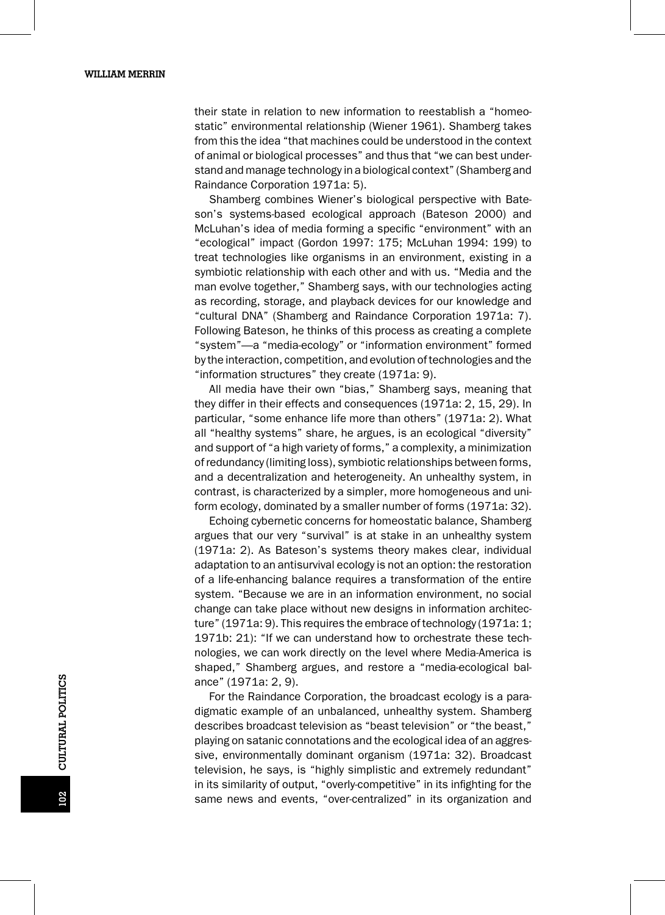their state in relation to new information to reestablish a "homeostatic" environmental relationship (Wiener 1961). Shamberg takes from this the idea "that machines could be understood in the context of animal or biological processes" and thus that "we can best understand and manage technology in a biological context" (Shamberg and Raindance Corporation 1971a: 5).

Shamberg combines Wiener's biological perspective with Bateson's systems-based ecological approach (Bateson 2000) and McLuhan's idea of media forming a specific "environment" with an "ecological" impact (Gordon 1997: 175; McLuhan 1994: 199) to treat technologies like organisms in an environment, existing in a symbiotic relationship with each other and with us. "Media and the man evolve together," Shamberg says, with our technologies acting as recording, storage, and playback devices for our knowledge and "cultural DNA" (Shamberg and Raindance Corporation 1971a: 7). Following Bateson, he thinks of this process as creating a complete "system"—a "media-ecology" or "information environment" formed by the interaction, competition, and evolution of technologies and the "information structures" they create (1971a: 9).

All media have their own "bias," Shamberg says, meaning that they differ in their effects and consequences (1971a: 2, 15, 29). In particular, "some enhance life more than others" (1971a: 2). What all "healthy systems" share, he argues, is an ecological "diversity" and support of "a high variety of forms," a complexity, a minimization of redundancy (limiting loss), symbiotic relationships between forms, and a decentralization and heterogeneity. An unhealthy system, in contrast, is characterized by a simpler, more homogeneous and uniform ecology, dominated by a smaller number of forms (1971a: 32).

Echoing cybernetic concerns for homeostatic balance, Shamberg argues that our very "survival" is at stake in an unhealthy system (1971a: 2). As Bateson's systems theory makes clear, individual adaptation to an antisurvival ecology is not an option: the restoration of a life-enhancing balance requires a transformation of the entire system. "Because we are in an information environment, no social change can take place without new designs in information architecture" (1971a: 9). This requires the embrace of technology (1971a: 1; 1971b: 21): "If we can understand how to orchestrate these technologies, we can work directly on the level where Media-America is shaped," Shamberg argues, and restore a "media-ecological balance" (1971a: 2, 9).

For the Raindance Corporation, the broadcast ecology is a paradigmatic example of an unbalanced, unhealthy system. Shamberg describes broadcast television as "beast television" or "the beast," playing on satanic connotations and the ecological idea of an aggressive, environmentally dominant organism (1971a: 32). Broadcast television, he says, is "highly simplistic and extremely redundant" in its similarity of output, "overly-competitive" in its infighting for the same news and events, "over-centralized" in its organization and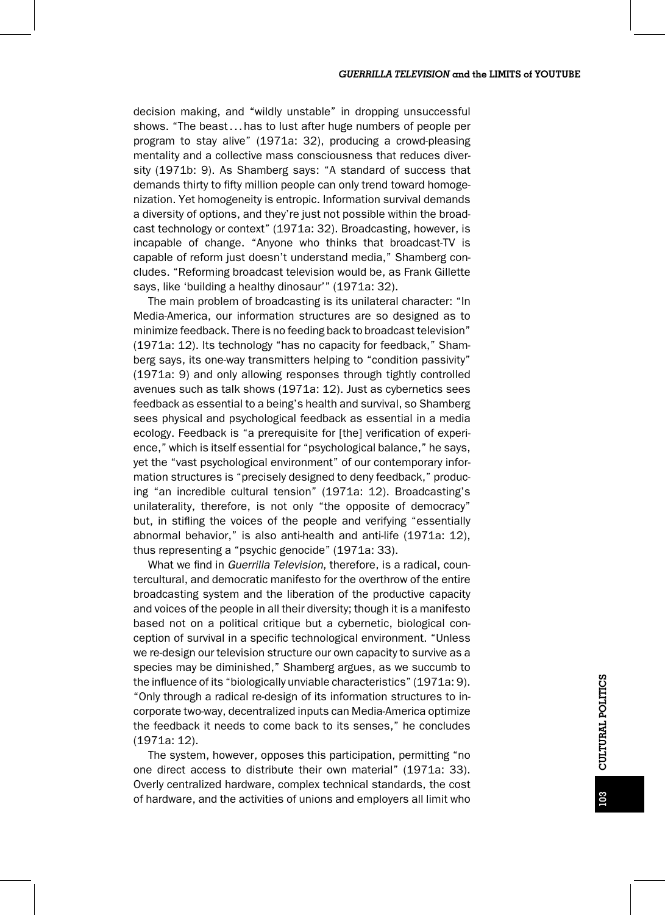decision making, and "wildly unstable" in dropping unsuccessful shows. "The beast...has to lust after huge numbers of people per program to stay alive" (1971a: 32), producing a crowd-pleasing mentality and a collective mass consciousness that reduces diversity (1971b: 9). As Shamberg says: "A standard of success that demands thirty to fifty million people can only trend toward homogenization. Yet homogeneity is entropic. Information survival demands a diversity of options, and they're just not possible within the broadcast technology or context" (1971a: 32). Broadcasting, however, is incapable of change. "Anyone who thinks that broadcast-TV is capable of reform just doesn't understand media," Shamberg concludes. "Reforming broadcast television would be, as Frank Gillette says, like 'building a healthy dinosaur'" (1971a: 32).

The main problem of broadcasting is its unilateral character: "In Media-America, our information structures are so designed as to minimize feedback. There is no feeding back to broadcast television" (1971a: 12). Its technology "has no capacity for feedback," Shamberg says, its one-way transmitters helping to "condition passivity" (1971a: 9) and only allowing responses through tightly controlled avenues such as talk shows (1971a: 12). Just as cybernetics sees feedback as essential to a being's health and survival, so Shamberg sees physical and psychological feedback as essential in a media ecology. Feedback is "a prerequisite for [the] verification of experience," which is itself essential for "psychological balance," he says, yet the "vast psychological environment" of our contemporary information structures is "precisely designed to deny feedback," producing "an incredible cultural tension" (1971a: 12). Broadcasting's unilaterality, therefore, is not only "the opposite of democracy" but, in stifling the voices of the people and verifying "essentially abnormal behavior," is also anti-health and anti-life (1971a: 12), thus representing a "psychic genocide" (1971a: 33).

What we find in Guerrilla Television, therefore, is a radical, countercultural, and democratic manifesto for the overthrow of the entire broadcasting system and the liberation of the productive capacity and voices of the people in all their diversity; though it is a manifesto based not on a political critique but a cybernetic, biological conception of survival in a specific technological environment. "Unless we re-design our television structure our own capacity to survive as a species may be diminished," Shamberg argues, as we succumb to the influence of its "biologically unviable characteristics" (1971a: 9). "Only through a radical re-design of its information structures to incorporate two-way, decentralized inputs can Media-America optimize the feedback it needs to come back to its senses," he concludes (1971a: 12).

The system, however, opposes this participation, permitting "no one direct access to distribute their own material" (1971a: 33). Overly centralized hardware, complex technical standards, the cost of hardware, and the activities of unions and employers all limit who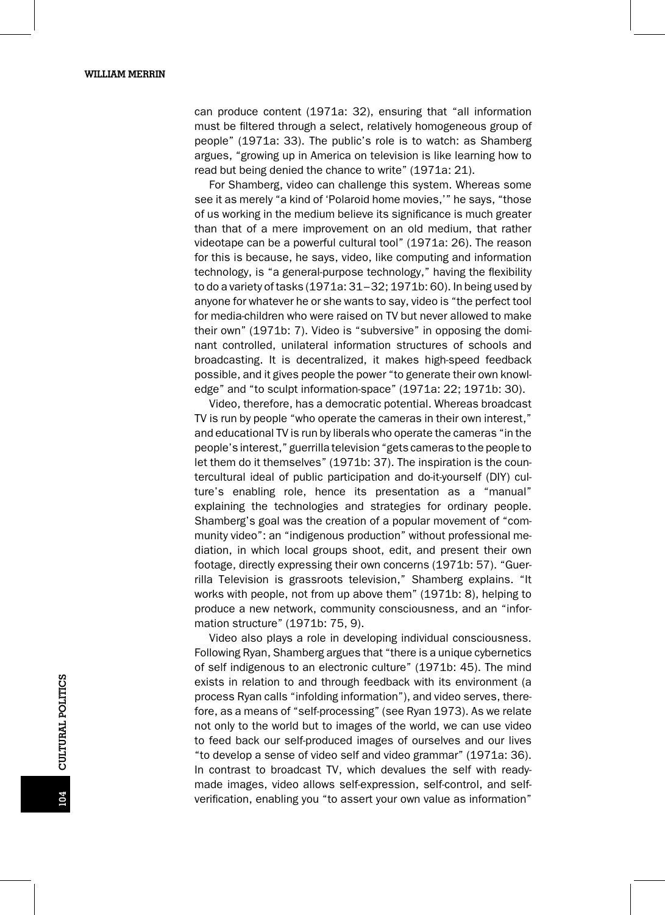can produce content (1971a: 32), ensuring that "all information must be filtered through a select, relatively homogeneous group of people" (1971a: 33). The public's role is to watch: as Shamberg argues, "growing up in America on television is like learning how to read but being denied the chance to write" (1971a: 21).

For Shamberg, video can challenge this system. Whereas some see it as merely "a kind of 'Polaroid home movies,'" he says, "those of us working in the medium believe its significance is much greater than that of a mere improvement on an old medium, that rather videotape can be a powerful cultural tool" (1971a: 26). The reason for this is because, he says, video, like computing and information technology, is "a general-purpose technology," having the flexibility to do a variety of tasks (1971a: 31–32; 1971b: 60). In being used by anyone for whatever he or she wants to say, video is "the perfect tool for media-children who were raised on TV but never allowed to make their own" (1971b: 7). Video is "subversive" in opposing the dominant controlled, unilateral information structures of schools and broadcasting. It is decentralized, it makes high-speed feedback possible, and it gives people the power "to generate their own knowledge" and "to sculpt information-space" (1971a: 22; 1971b: 30).

Video, therefore, has a democratic potential. Whereas broadcast TV is run by people "who operate the cameras in their own interest," and educational TV is run by liberals who operate the cameras "in the people's interest," guerrilla television "gets cameras to the people to let them do it themselves" (1971b: 37). The inspiration is the countercultural ideal of public participation and do-it-yourself (DIY) culture's enabling role, hence its presentation as a "manual" explaining the technologies and strategies for ordinary people. Shamberg's goal was the creation of a popular movement of "community video": an "indigenous production" without professional mediation, in which local groups shoot, edit, and present their own footage, directly expressing their own concerns (1971b: 57). "Guerrilla Television is grassroots television," Shamberg explains. "It works with people, not from up above them" (1971b: 8), helping to produce a new network, community consciousness, and an "information structure" (1971b: 75, 9).

Video also plays a role in developing individual consciousness. Following Ryan, Shamberg argues that "there is a unique cybernetics of self indigenous to an electronic culture" (1971b: 45). The mind exists in relation to and through feedback with its environment (a process Ryan calls "infolding information"), and video serves, therefore, as a means of "self-processing" (see Ryan 1973). As we relate not only to the world but to images of the world, we can use video to feed back our self-produced images of ourselves and our lives "to develop a sense of video self and video grammar" (1971a: 36). In contrast to broadcast TV, which devalues the self with readymade images, video allows self-expression, self-control, and selfverification, enabling you "to assert your own value as information"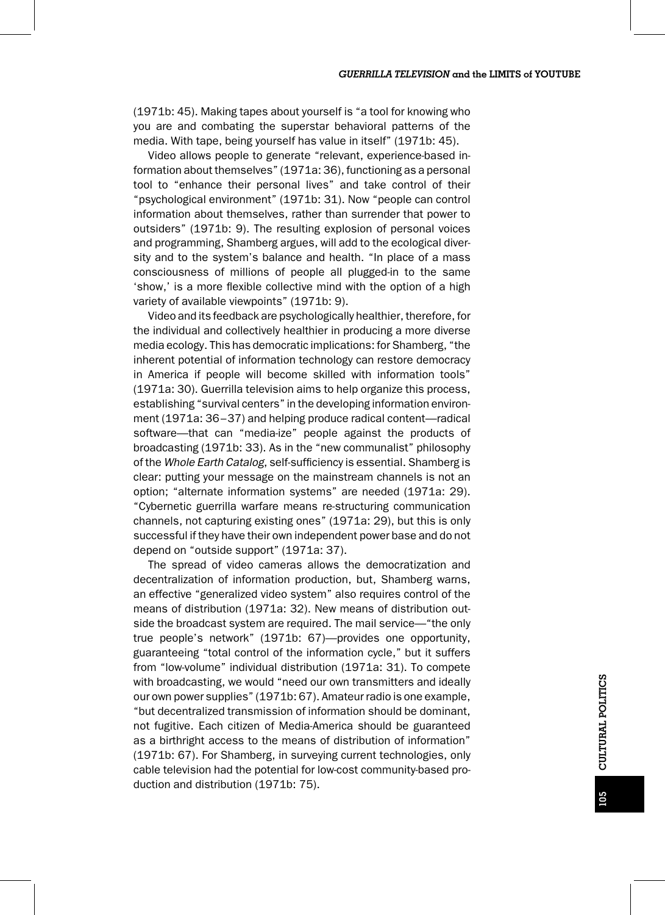(1971b: 45). Making tapes about yourself is "a tool for knowing who you are and combating the superstar behavioral patterns of the media. With tape, being yourself has value in itself" (1971b: 45).

Video allows people to generate "relevant, experience-based information about themselves" (1971a: 36), functioning as a personal tool to "enhance their personal lives" and take control of their "psychological environment" (1971b: 31). Now "people can control information about themselves, rather than surrender that power to outsiders" (1971b: 9). The resulting explosion of personal voices and programming, Shamberg argues, will add to the ecological diversity and to the system's balance and health. "In place of a mass consciousness of millions of people all plugged-in to the same 'show,' is a more flexible collective mind with the option of a high variety of available viewpoints" (1971b: 9).

Video and its feedback are psychologically healthier, therefore, for the individual and collectively healthier in producing a more diverse media ecology. This has democratic implications: for Shamberg, "the inherent potential of information technology can restore democracy in America if people will become skilled with information tools" (1971a: 30). Guerrilla television aims to help organize this process, establishing "survival centers" in the developing information environment (1971a: 36–37) and helping produce radical content—radical software—that can "media-ize" people against the products of broadcasting (1971b: 33). As in the "new communalist" philosophy of the Whole Earth Catalog, self-sufficiency is essential. Shamberg is clear: putting your message on the mainstream channels is not an option; "alternate information systems" are needed (1971a: 29). "Cybernetic guerrilla warfare means re-structuring communication channels, not capturing existing ones" (1971a: 29), but this is only successful if they have their own independent power base and do not depend on "outside support" (1971a: 37).

The spread of video cameras allows the democratization and decentralization of information production, but, Shamberg warns, an effective "generalized video system" also requires control of the means of distribution (1971a: 32). New means of distribution outside the broadcast system are required. The mail service—"the only true people's network" (1971b: 67)—provides one opportunity, guaranteeing "total control of the information cycle," but it suffers from "low-volume" individual distribution (1971a: 31). To compete with broadcasting, we would "need our own transmitters and ideally our own power supplies" (1971b: 67). Amateur radio is one example, "but decentralized transmission of information should be dominant, not fugitive. Each citizen of Media-America should be guaranteed as a birthright access to the means of distribution of information" (1971b: 67). For Shamberg, in surveying current technologies, only cable television had the potential for low-cost community-based production and distribution (1971b: 75).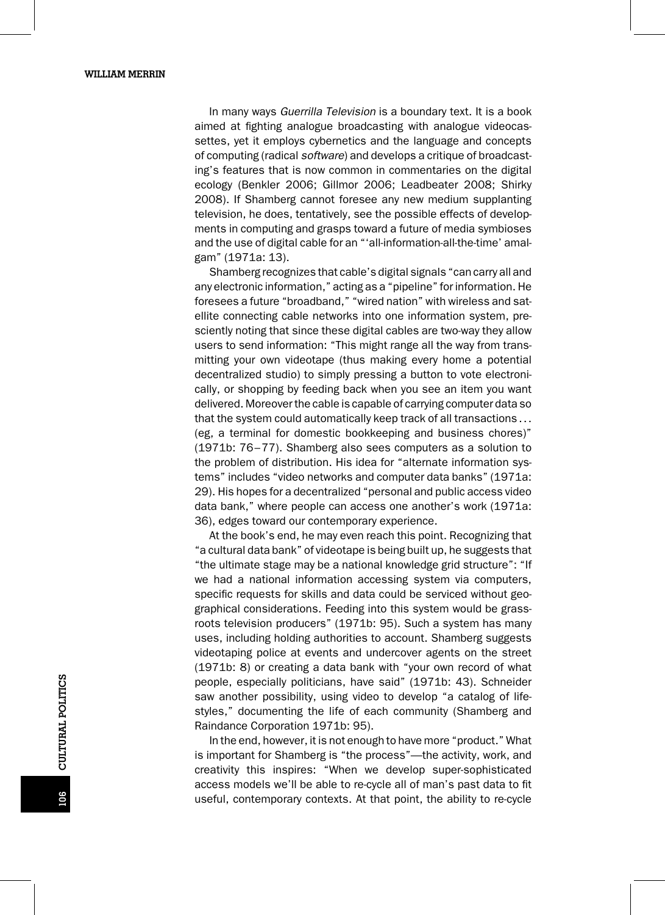In many ways Guerrilla Television is a boundary text. It is a book aimed at fighting analogue broadcasting with analogue videocassettes, yet it employs cybernetics and the language and concepts of computing (radical software) and develops a critique of broadcasting's features that is now common in commentaries on the digital ecology (Benkler 2006; Gillmor 2006; Leadbeater 2008; Shirky 2008). If Shamberg cannot foresee any new medium supplanting television, he does, tentatively, see the possible effects of developments in computing and grasps toward a future of media symbioses and the use of digital cable for an "'all-information-all-the-time' amalgam" (1971a: 13).

Shamberg recognizes that cable's digital signals "can carry all and any electronic information," acting as a "pipeline" for information. He foresees a future "broadband," "wired nation" with wireless and satellite connecting cable networks into one information system, presciently noting that since these digital cables are two-way they allow users to send information: "This might range all the way from transmitting your own videotape (thus making every home a potential decentralized studio) to simply pressing a button to vote electronically, or shopping by feeding back when you see an item you want delivered. Moreover the cable is capable of carrying computer data so that the system could automatically keep track of all transactions... (eg, a terminal for domestic bookkeeping and business chores)" (1971b: 76–77). Shamberg also sees computers as a solution to the problem of distribution. His idea for "alternate information systems" includes "video networks and computer data banks" (1971a: 29). His hopes for a decentralized "personal and public access video data bank," where people can access one another's work (1971a: 36), edges toward our contemporary experience.

At the book's end, he may even reach this point. Recognizing that "a cultural data bank" of videotape is being built up, he suggests that "the ultimate stage may be a national knowledge grid structure": "If we had a national information accessing system via computers, specific requests for skills and data could be serviced without geographical considerations. Feeding into this system would be grassroots television producers" (1971b: 95). Such a system has many uses, including holding authorities to account. Shamberg suggests videotaping police at events and undercover agents on the street (1971b: 8) or creating a data bank with "your own record of what people, especially politicians, have said" (1971b: 43). Schneider saw another possibility, using video to develop "a catalog of lifestyles," documenting the life of each community (Shamberg and Raindance Corporation 1971b: 95).

In the end, however, it is not enough to have more "product." What is important for Shamberg is "the process"—the activity, work, and creativity this inspires: "When we develop super-sophisticated access models we'll be able to re-cycle all of man's past data to fit useful, contemporary contexts. At that point, the ability to re-cycle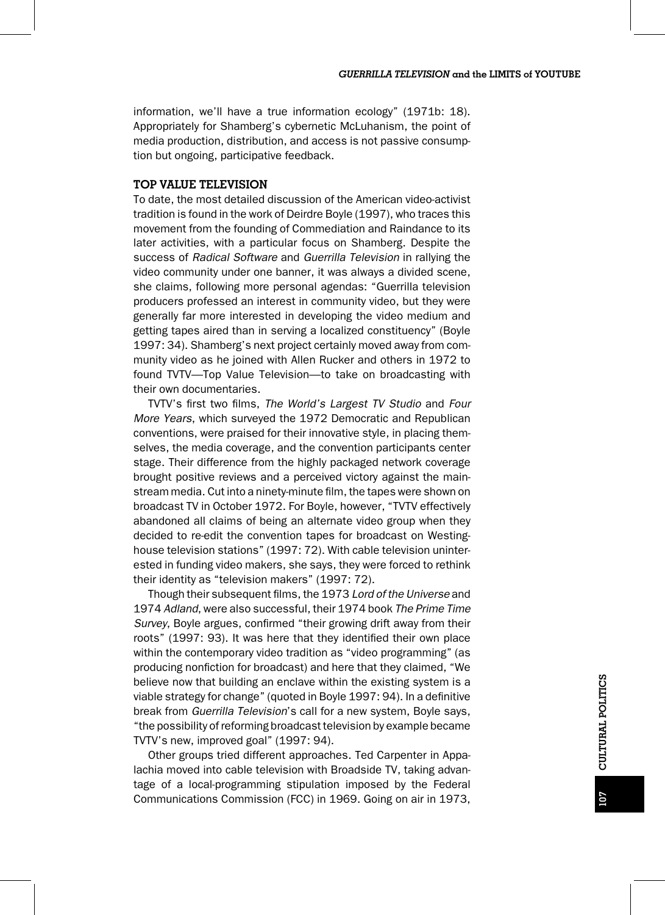information, we'll have a true information ecology" (1971b: 18). Appropriately for Shamberg's cybernetic McLuhanism, the point of media production, distribution, and access is not passive consumption but ongoing, participative feedback.

#### TOP VALUE TELEVISION

To date, the most detailed discussion of the American video-activist tradition is found in the work of Deirdre Boyle (1997), who traces this movement from the founding of Commediation and Raindance to its later activities, with a particular focus on Shamberg. Despite the success of Radical Software and Guerrilla Television in rallying the video community under one banner, it was always a divided scene, she claims, following more personal agendas: "Guerrilla television producers professed an interest in community video, but they were generally far more interested in developing the video medium and getting tapes aired than in serving a localized constituency" (Boyle 1997: 34). Shamberg's next project certainly moved away from community video as he joined with Allen Rucker and others in 1972 to found TVTV—Top Value Television—to take on broadcasting with their own documentaries.

TVTV's first two films, The World's Largest TV Studio and Four More Years, which surveyed the 1972 Democratic and Republican conventions, were praised for their innovative style, in placing themselves, the media coverage, and the convention participants center stage. Their difference from the highly packaged network coverage brought positive reviews and a perceived victory against the mainstream media. Cut into a ninety-minute film, the tapes were shown on broadcast TV in October 1972. For Boyle, however, "TVTV effectively abandoned all claims of being an alternate video group when they decided to re-edit the convention tapes for broadcast on Westinghouse television stations" (1997: 72). With cable television uninterested in funding video makers, she says, they were forced to rethink their identity as "television makers" (1997: 72).

Though their subsequent films, the 1973 Lord of the Universe and 1974 Adland, were also successful, their 1974 book The Prime Time Survey, Boyle argues, confirmed "their growing drift away from their roots" (1997: 93). It was here that they identified their own place within the contemporary video tradition as "video programming" (as producing nonfiction for broadcast) and here that they claimed, "We believe now that building an enclave within the existing system is a viable strategy for change" (quoted in Boyle 1997: 94). In a definitive break from Guerrilla Television's call for a new system, Boyle says, "the possibility of reforming broadcast television by example became TVTV's new, improved goal" (1997: 94).

Other groups tried different approaches. Ted Carpenter in Appalachia moved into cable television with Broadside TV, taking advantage of a local-programming stipulation imposed by the Federal Communications Commission (FCC) in 1969. Going on air in 1973,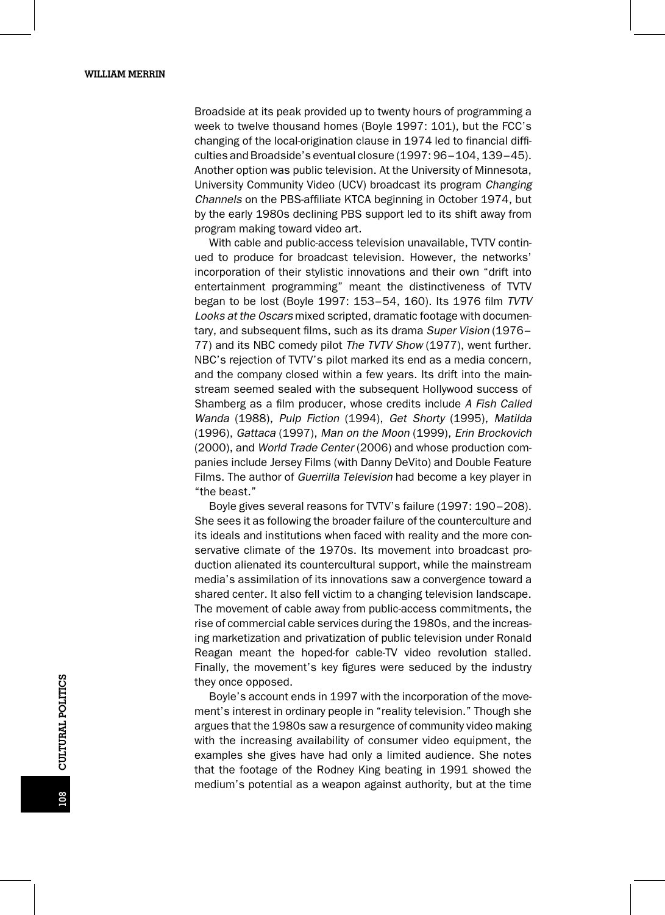Broadside at its peak provided up to twenty hours of programming a week to twelve thousand homes (Boyle 1997: 101), but the FCC's changing of the local-origination clause in 1974 led to financial difficulties and Broadside's eventual closure (1997: 96–104, 139–45). Another option was public television. At the University of Minnesota, University Community Video (UCV) broadcast its program Changing Channels on the PBS-affiliate KTCA beginning in October 1974, but by the early 1980s declining PBS support led to its shift away from program making toward video art.

With cable and public-access television unavailable, TVTV continued to produce for broadcast television. However, the networks' incorporation of their stylistic innovations and their own "drift into entertainment programming" meant the distinctiveness of TVTV began to be lost (Boyle 1997: 153–54, 160). Its 1976 film TVTV Looks at the Oscars mixed scripted, dramatic footage with documentary, and subsequent films, such as its drama Super Vision (1976– 77) and its NBC comedy pilot The TVTV Show (1977), went further. NBC's rejection of TVTV's pilot marked its end as a media concern, and the company closed within a few years. Its drift into the mainstream seemed sealed with the subsequent Hollywood success of Shamberg as a film producer, whose credits include A Fish Called Wanda (1988), Pulp Fiction (1994), Get Shorty (1995), Matilda (1996), Gattaca (1997), Man on the Moon (1999), Erin Brockovich (2000), and World Trade Center (2006) and whose production companies include Jersey Films (with Danny DeVito) and Double Feature Films. The author of Guerrilla Television had become a key player in "the beast."

Boyle gives several reasons for TVTV's failure (1997: 190–208). She sees it as following the broader failure of the counterculture and its ideals and institutions when faced with reality and the more conservative climate of the 1970s. Its movement into broadcast production alienated its countercultural support, while the mainstream media's assimilation of its innovations saw a convergence toward a shared center. It also fell victim to a changing television landscape. The movement of cable away from public-access commitments, the rise of commercial cable services during the 1980s, and the increasing marketization and privatization of public television under Ronald Reagan meant the hoped-for cable-TV video revolution stalled. Finally, the movement's key figures were seduced by the industry they once opposed.

Boyle's account ends in 1997 with the incorporation of the movement's interest in ordinary people in "reality television." Though she argues that the 1980s saw a resurgence of community video making with the increasing availability of consumer video equipment, the examples she gives have had only a limited audience. She notes that the footage of the Rodney King beating in 1991 showed the medium's potential as a weapon against authority, but at the time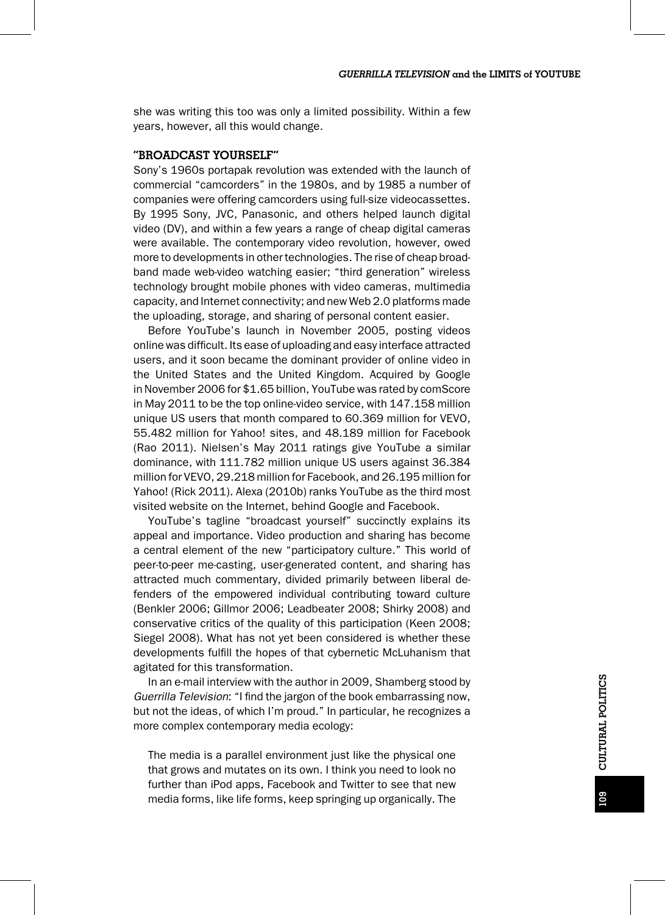she was writing this too was only a limited possibility. Within a few years, however, all this would change.

### "BROADCAST YOURSELF"

Sony's 1960s portapak revolution was extended with the launch of commercial "camcorders" in the 1980s, and by 1985 a number of companies were offering camcorders using full-size videocassettes. By 1995 Sony, JVC, Panasonic, and others helped launch digital video (DV), and within a few years a range of cheap digital cameras were available. The contemporary video revolution, however, owed more to developments in other technologies. The rise of cheap broadband made web-video watching easier; "third generation" wireless technology brought mobile phones with video cameras, multimedia capacity, and Internet connectivity; and new Web 2.0 platforms made the uploading, storage, and sharing of personal content easier.

Before YouTube's launch in November 2005, posting videos online was difficult. Its ease of uploading and easy interface attracted users, and it soon became the dominant provider of online video in the United States and the United Kingdom. Acquired by Google in November 2006 for \$1.65 billion, YouTube was rated by comScore in May 2011 to be the top online-video service, with 147.158 million unique US users that month compared to 60.369 million for VEVO, 55.482 million for Yahoo! sites, and 48.189 million for Facebook (Rao 2011). Nielsen's May 2011 ratings give YouTube a similar dominance, with 111.782 million unique US users against 36.384 million for VEVO, 29.218 million for Facebook, and 26.195 million for Yahoo! (Rick 2011). Alexa (2010b) ranks YouTube as the third most visited website on the Internet, behind Google and Facebook.

YouTube's tagline "broadcast yourself" succinctly explains its appeal and importance. Video production and sharing has become a central element of the new "participatory culture." This world of peer-to-peer me-casting, user-generated content, and sharing has attracted much commentary, divided primarily between liberal defenders of the empowered individual contributing toward culture (Benkler 2006; Gillmor 2006; Leadbeater 2008; Shirky 2008) and conservative critics of the quality of this participation (Keen 2008; Siegel 2008). What has not yet been considered is whether these developments fulfill the hopes of that cybernetic McLuhanism that agitated for this transformation.

In an e-mail interview with the author in 2009, Shamberg stood by Guerrilla Television: "I find the jargon of the book embarrassing now, but not the ideas, of which I'm proud." In particular, he recognizes a more complex contemporary media ecology:

The media is a parallel environment just like the physical one that grows and mutates on its own. I think you need to look no further than iPod apps, Facebook and Twitter to see that new media forms, like life forms, keep springing up organically. The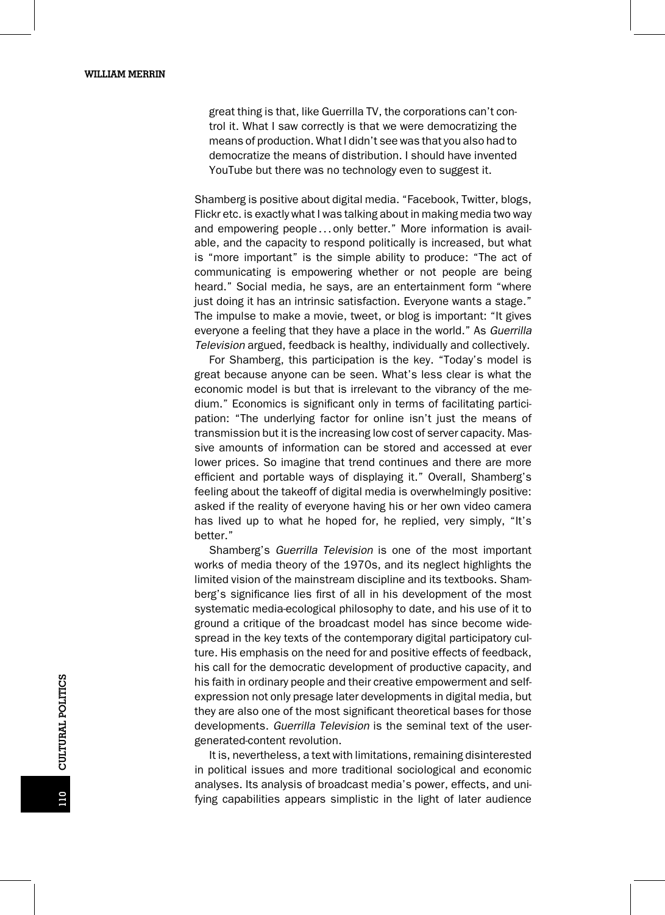great thing is that, like Guerrilla TV, the corporations can't control it. What I saw correctly is that we were democratizing the means of production. What I didn't see was that you also had to democratize the means of distribution. I should have invented YouTube but there was no technology even to suggest it.

Shamberg is positive about digital media. "Facebook, Twitter, blogs, Flickr etc. is exactly what I was talking about in making media two way and empowering people...only better." More information is available, and the capacity to respond politically is increased, but what is "more important" is the simple ability to produce: "The act of communicating is empowering whether or not people are being heard." Social media, he says, are an entertainment form "where just doing it has an intrinsic satisfaction. Everyone wants a stage." The impulse to make a movie, tweet, or blog is important: "It gives everyone a feeling that they have a place in the world." As Guerrilla Television argued, feedback is healthy, individually and collectively.

For Shamberg, this participation is the key. "Today's model is great because anyone can be seen. What's less clear is what the economic model is but that is irrelevant to the vibrancy of the medium." Economics is significant only in terms of facilitating participation: "The underlying factor for online isn't just the means of transmission but it is the increasing low cost of server capacity. Massive amounts of information can be stored and accessed at ever lower prices. So imagine that trend continues and there are more efficient and portable ways of displaying it." Overall, Shamberg's feeling about the takeoff of digital media is overwhelmingly positive: asked if the reality of everyone having his or her own video camera has lived up to what he hoped for, he replied, very simply, "It's better."

Shamberg's Guerrilla Television is one of the most important works of media theory of the 1970s, and its neglect highlights the limited vision of the mainstream discipline and its textbooks. Shamberg's significance lies first of all in his development of the most systematic media-ecological philosophy to date, and his use of it to ground a critique of the broadcast model has since become widespread in the key texts of the contemporary digital participatory culture. His emphasis on the need for and positive effects of feedback, his call for the democratic development of productive capacity, and his faith in ordinary people and their creative empowerment and selfexpression not only presage later developments in digital media, but they are also one of the most significant theoretical bases for those developments. Guerrilla Television is the seminal text of the usergenerated-content revolution.

It is, nevertheless, a text with limitations, remaining disinterested in political issues and more traditional sociological and economic analyses. Its analysis of broadcast media's power, effects, and unifying capabilities appears simplistic in the light of later audience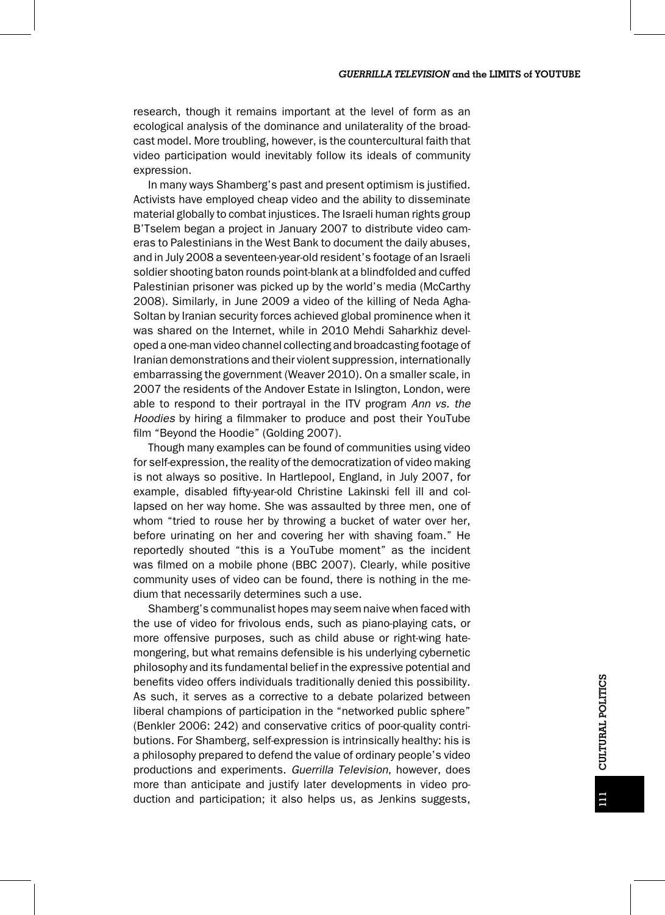research, though it remains important at the level of form as an ecological analysis of the dominance and unilaterality of the broadcast model. More troubling, however, is the countercultural faith that video participation would inevitably follow its ideals of community expression.

In many ways Shamberg's past and present optimism is justified. Activists have employed cheap video and the ability to disseminate material globally to combat injustices. The Israeli human rights group B'Tselem began a project in January 2007 to distribute video cameras to Palestinians in the West Bank to document the daily abuses, and in July 2008 a seventeen-year-old resident's footage of an Israeli soldier shooting baton rounds point-blank at a blindfolded and cuffed Palestinian prisoner was picked up by the world's media (McCarthy 2008). Similarly, in June 2009 a video of the killing of Neda Agha-Soltan by Iranian security forces achieved global prominence when it was shared on the Internet, while in 2010 Mehdi Saharkhiz developed a one-man video channel collecting and broadcasting footage of Iranian demonstrations and their violent suppression, internationally embarrassing the government (Weaver 2010). On a smaller scale, in 2007 the residents of the Andover Estate in Islington, London, were able to respond to their portrayal in the ITV program Ann vs. the Hoodies by hiring a filmmaker to produce and post their YouTube film "Beyond the Hoodie" (Golding 2007).

Though many examples can be found of communities using video for self-expression, the reality of the democratization of video making is not always so positive. In Hartlepool, England, in July 2007, for example, disabled fifty-year-old Christine Lakinski fell ill and collapsed on her way home. She was assaulted by three men, one of whom "tried to rouse her by throwing a bucket of water over her, before urinating on her and covering her with shaving foam." He reportedly shouted "this is a YouTube moment" as the incident was filmed on a mobile phone (BBC 2007). Clearly, while positive community uses of video can be found, there is nothing in the medium that necessarily determines such a use.

Shamberg's communalist hopes may seem naive when faced with the use of video for frivolous ends, such as piano-playing cats, or more offensive purposes, such as child abuse or right-wing hatemongering, but what remains defensible is his underlying cybernetic philosophy and its fundamental belief in the expressive potential and benefits video offers individuals traditionally denied this possibility. As such, it serves as a corrective to a debate polarized between liberal champions of participation in the "networked public sphere" (Benkler 2006: 242) and conservative critics of poor-quality contributions. For Shamberg, self-expression is intrinsically healthy: his is a philosophy prepared to defend the value of ordinary people's video productions and experiments. Guerrilla Television, however, does more than anticipate and justify later developments in video production and participation; it also helps us, as Jenkins suggests,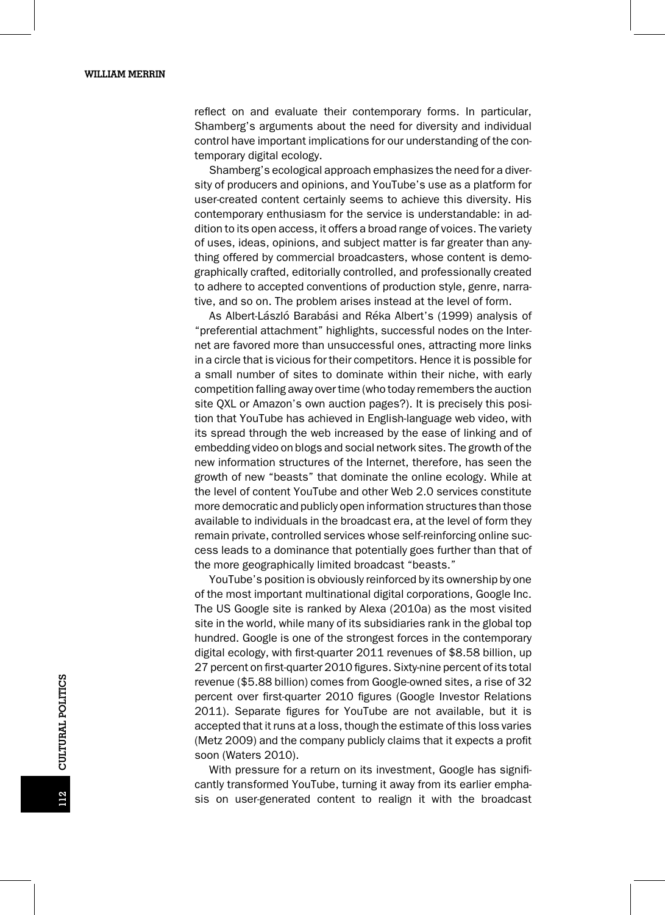reflect on and evaluate their contemporary forms. In particular, Shamberg's arguments about the need for diversity and individual control have important implications for our understanding of the contemporary digital ecology.

Shamberg's ecological approach emphasizes the need for a diversity of producers and opinions, and YouTube's use as a platform for user-created content certainly seems to achieve this diversity. His contemporary enthusiasm for the service is understandable: in addition to its open access, it offers a broad range of voices. The variety of uses, ideas, opinions, and subject matter is far greater than anything offered by commercial broadcasters, whose content is demographically crafted, editorially controlled, and professionally created to adhere to accepted conventions of production style, genre, narrative, and so on. The problem arises instead at the level of form.

As Albert-László Barabási and Réka Albert's (1999) analysis of "preferential attachment" highlights, successful nodes on the Internet are favored more than unsuccessful ones, attracting more links in a circle that is vicious for their competitors. Hence it is possible for a small number of sites to dominate within their niche, with early competition falling away over time (who today remembers the auction site QXL or Amazon's own auction pages?). It is precisely this position that YouTube has achieved in English-language web video, with its spread through the web increased by the ease of linking and of embedding video on blogs and social network sites. The growth of the new information structures of the Internet, therefore, has seen the growth of new "beasts" that dominate the online ecology. While at the level of content YouTube and other Web 2.0 services constitute more democratic and publicly open information structures than those available to individuals in the broadcast era, at the level of form they remain private, controlled services whose self-reinforcing online success leads to a dominance that potentially goes further than that of the more geographically limited broadcast "beasts."

YouTube's position is obviously reinforced by its ownership by one of the most important multinational digital corporations, Google Inc. The US Google site is ranked by Alexa (2010a) as the most visited site in the world, while many of its subsidiaries rank in the global top hundred. Google is one of the strongest forces in the contemporary digital ecology, with first-quarter 2011 revenues of \$8.58 billion, up 27 percent on first-quarter 2010 figures. Sixty-nine percent of its total revenue (\$5.88 billion) comes from Google-owned sites, a rise of 32 percent over first-quarter 2010 figures (Google Investor Relations 2011). Separate figures for YouTube are not available, but it is accepted that it runs at a loss, though the estimate of this loss varies (Metz 2009) and the company publicly claims that it expects a profit soon (Waters 2010).

With pressure for a return on its investment, Google has significantly transformed YouTube, turning it away from its earlier emphasis on user-generated content to realign it with the broadcast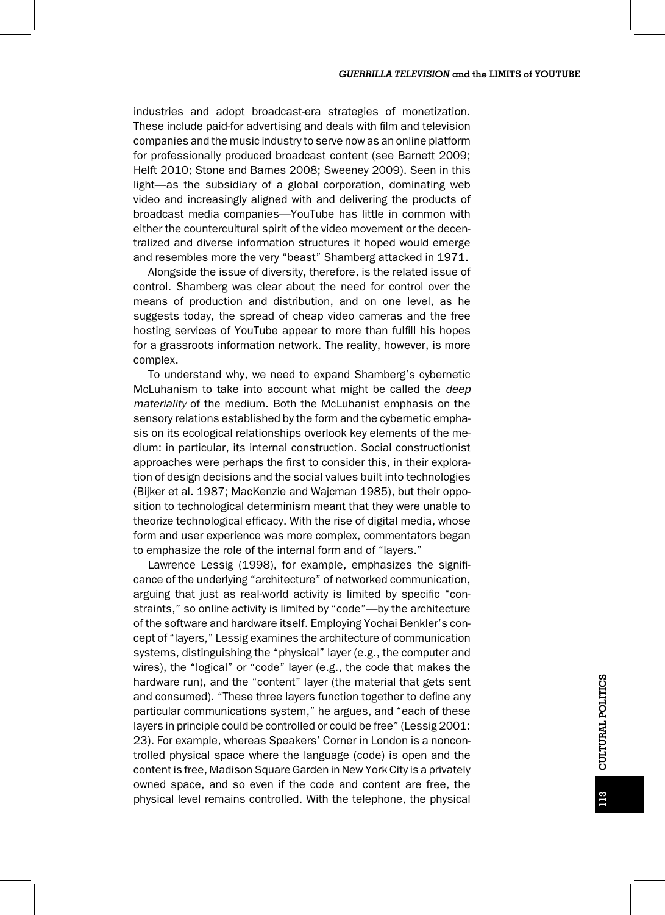industries and adopt broadcast-era strategies of monetization. These include paid-for advertising and deals with film and television companies and the music industry to serve now as an online platform for professionally produced broadcast content (see Barnett 2009; Helft 2010; Stone and Barnes 2008; Sweeney 2009). Seen in this light—as the subsidiary of a global corporation, dominating web video and increasingly aligned with and delivering the products of broadcast media companies—YouTube has little in common with either the countercultural spirit of the video movement or the decentralized and diverse information structures it hoped would emerge and resembles more the very "beast" Shamberg attacked in 1971.

Alongside the issue of diversity, therefore, is the related issue of control. Shamberg was clear about the need for control over the means of production and distribution, and on one level, as he suggests today, the spread of cheap video cameras and the free hosting services of YouTube appear to more than fulfill his hopes for a grassroots information network. The reality, however, is more complex.

To understand why, we need to expand Shamberg's cybernetic McLuhanism to take into account what might be called the *deep* materiality of the medium. Both the McLuhanist emphasis on the sensory relations established by the form and the cybernetic emphasis on its ecological relationships overlook key elements of the medium: in particular, its internal construction. Social constructionist approaches were perhaps the first to consider this, in their exploration of design decisions and the social values built into technologies (Bijker et al. 1987; MacKenzie and Wajcman 1985), but their opposition to technological determinism meant that they were unable to theorize technological efficacy. With the rise of digital media, whose form and user experience was more complex, commentators began to emphasize the role of the internal form and of "layers."

Lawrence Lessig (1998), for example, emphasizes the significance of the underlying "architecture" of networked communication, arguing that just as real-world activity is limited by specific "constraints," so online activity is limited by "code"—by the architecture of the software and hardware itself. Employing Yochai Benkler's concept of "layers," Lessig examines the architecture of communication systems, distinguishing the "physical" layer (e.g., the computer and wires), the "logical" or "code" layer (e.g., the code that makes the hardware run), and the "content" layer (the material that gets sent and consumed). "These three layers function together to define any particular communications system," he argues, and "each of these layers in principle could be controlled or could be free" (Lessig 2001: 23). For example, whereas Speakers' Corner in London is a noncontrolled physical space where the language (code) is open and the content is free, Madison Square Garden in New York City is a privately owned space, and so even if the code and content are free, the physical level remains controlled. With the telephone, the physical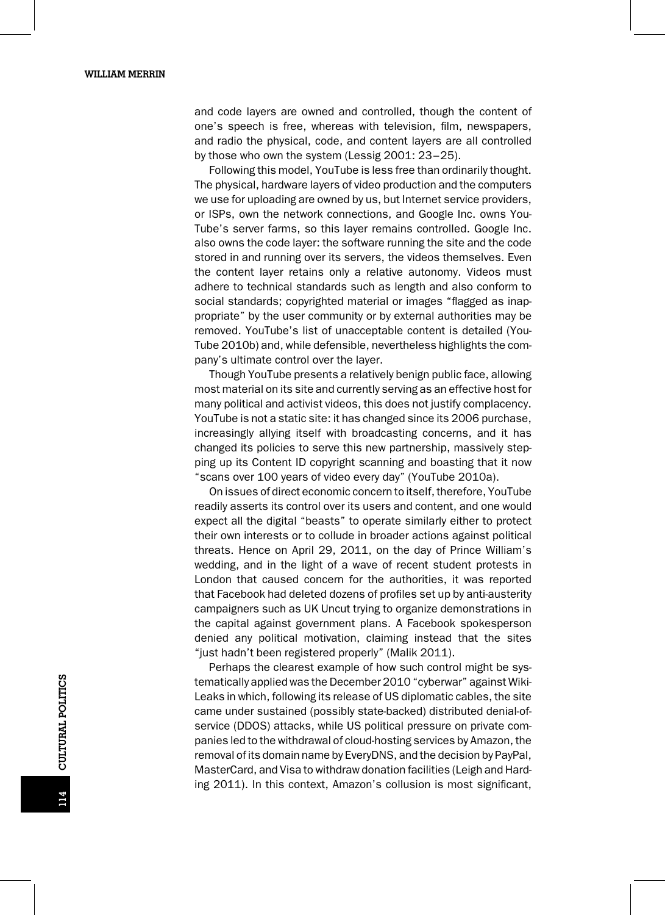and code layers are owned and controlled, though the content of one's speech is free, whereas with television, film, newspapers, and radio the physical, code, and content layers are all controlled by those who own the system (Lessig 2001: 23–25).

Following this model, YouTube is less free than ordinarily thought. The physical, hardware layers of video production and the computers we use for uploading are owned by us, but Internet service providers, or ISPs, own the network connections, and Google Inc. owns You-Tube's server farms, so this layer remains controlled. Google Inc. also owns the code layer: the software running the site and the code stored in and running over its servers, the videos themselves. Even the content layer retains only a relative autonomy. Videos must adhere to technical standards such as length and also conform to social standards; copyrighted material or images "flagged as inappropriate" by the user community or by external authorities may be removed. YouTube's list of unacceptable content is detailed (You-Tube 2010b) and, while defensible, nevertheless highlights the company's ultimate control over the layer.

Though YouTube presents a relatively benign public face, allowing most material on its site and currently serving as an effective host for many political and activist videos, this does not justify complacency. YouTube is not a static site: it has changed since its 2006 purchase, increasingly allying itself with broadcasting concerns, and it has changed its policies to serve this new partnership, massively stepping up its Content ID copyright scanning and boasting that it now "scans over 100 years of video every day" (YouTube 2010a).

On issues of direct economic concern to itself, therefore, YouTube readily asserts its control over its users and content, and one would expect all the digital "beasts" to operate similarly either to protect their own interests or to collude in broader actions against political threats. Hence on April 29, 2011, on the day of Prince William's wedding, and in the light of a wave of recent student protests in London that caused concern for the authorities, it was reported that Facebook had deleted dozens of profiles set up by anti-austerity campaigners such as UK Uncut trying to organize demonstrations in the capital against government plans. A Facebook spokesperson denied any political motivation, claiming instead that the sites "just hadn't been registered properly" (Malik 2011).

Perhaps the clearest example of how such control might be systematically applied was the December 2010 "cyberwar" against Wiki-Leaks in which, following its release of US diplomatic cables, the site came under sustained (possibly state-backed) distributed denial-ofservice (DDOS) attacks, while US political pressure on private companies led to the withdrawal of cloud-hosting services by Amazon, the removal of its domain name by EveryDNS, and the decision by PayPal, MasterCard, and Visa to withdraw donation facilities (Leigh and Harding 2011). In this context, Amazon's collusion is most significant,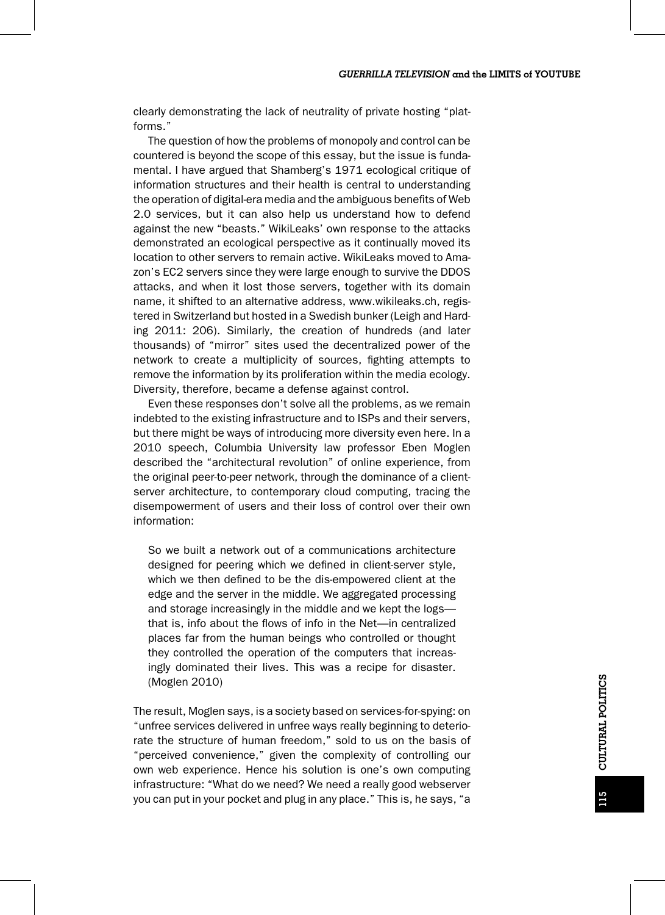clearly demonstrating the lack of neutrality of private hosting "platforms."

The question of how the problems of monopoly and control can be countered is beyond the scope of this essay, but the issue is fundamental. I have argued that Shamberg's 1971 ecological critique of information structures and their health is central to understanding the operation of digital-era media and the ambiguous benefits of Web 2.0 services, but it can also help us understand how to defend against the new "beasts." WikiLeaks' own response to the attacks demonstrated an ecological perspective as it continually moved its location to other servers to remain active. WikiLeaks moved to Amazon's EC2 servers since they were large enough to survive the DDOS attacks, and when it lost those servers, together with its domain name, it shifted to an alternative address, www.wikileaks.ch, registered in Switzerland but hosted in a Swedish bunker (Leigh and Harding 2011: 206). Similarly, the creation of hundreds (and later thousands) of "mirror" sites used the decentralized power of the network to create a multiplicity of sources, fighting attempts to remove the information by its proliferation within the media ecology. Diversity, therefore, became a defense against control.

Even these responses don't solve all the problems, as we remain indebted to the existing infrastructure and to ISPs and their servers, but there might be ways of introducing more diversity even here. In a 2010 speech, Columbia University law professor Eben Moglen described the "architectural revolution" of online experience, from the original peer-to-peer network, through the dominance of a clientserver architecture, to contemporary cloud computing, tracing the disempowerment of users and their loss of control over their own information:

So we built a network out of a communications architecture designed for peering which we defined in client-server style, which we then defined to be the dis-empowered client at the edge and the server in the middle. We aggregated processing and storage increasingly in the middle and we kept the logs that is, info about the flows of info in the Net—in centralized places far from the human beings who controlled or thought they controlled the operation of the computers that increasingly dominated their lives. This was a recipe for disaster. (Moglen 2010)

The result, Moglen says, is a society based on services-for-spying: on "unfree services delivered in unfree ways really beginning to deteriorate the structure of human freedom," sold to us on the basis of "perceived convenience," given the complexity of controlling our own web experience. Hence his solution is one's own computing infrastructure: "What do we need? We need a really good webserver you can put in your pocket and plug in any place." This is, he says, "a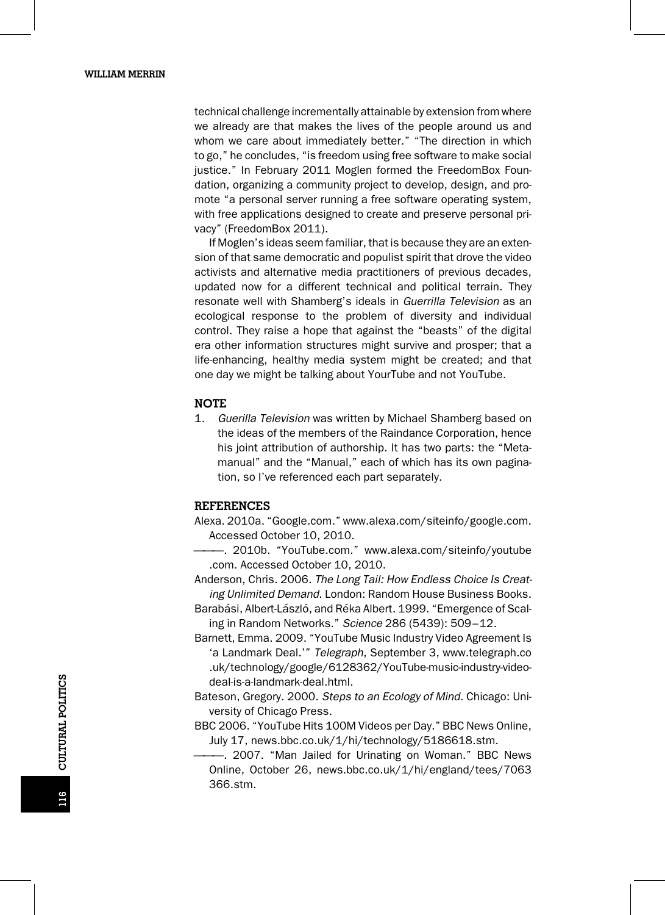technical challenge incrementally attainable by extension from where we already are that makes the lives of the people around us and whom we care about immediately better." "The direction in which to go," he concludes, "is freedom using free software to make social justice." In February 2011 Moglen formed the FreedomBox Foundation, organizing a community project to develop, design, and promote "a personal server running a free software operating system, with free applications designed to create and preserve personal privacy" (FreedomBox 2011).

If Moglen's ideas seem familiar, that is because they are an extension of that same democratic and populist spirit that drove the video activists and alternative media practitioners of previous decades, updated now for a different technical and political terrain. They resonate well with Shamberg's ideals in Guerrilla Television as an ecological response to the problem of diversity and individual control. They raise a hope that against the "beasts" of the digital era other information structures might survive and prosper; that a life-enhancing, healthy media system might be created; and that one day we might be talking about YourTube and not YouTube.

#### NOTE

1. Guerilla Television was written by Michael Shamberg based on the ideas of the members of the Raindance Corporation, hence his joint attribution of authorship. It has two parts: the "Metamanual" and the "Manual," each of which has its own pagination, so I've referenced each part separately.

#### REFERENCES

- Alexa. 2010a. "Google.com." www.alexa.com/siteinfo/google.com. Accessed October 10, 2010.
- ———. 2010b. "YouTube.com." www.alexa.com/siteinfo/youtube .com. Accessed October 10, 2010.

Anderson, Chris. 2006. The Long Tail: How Endless Choice Is Creating Unlimited Demand. London: Random House Business Books.

- Barabási, Albert-László, and Réka Albert. 1999. "Emergence of Scaling in Random Networks." Science 286 (5439): 509–12.
- Barnett, Emma. 2009. "YouTube Music Industry Video Agreement Is 'a Landmark Deal.'" Telegraph, September 3, www.telegraph.co .uk/technology/google/6128362/YouTube-music-industry-videodeal-is-a-landmark-deal.html.
- Bateson, Gregory. 2000. Steps to an Ecology of Mind. Chicago: University of Chicago Press.

BBC 2006. "YouTube Hits 100M Videos per Day." BBC News Online, July 17, news.bbc.co.uk/1/hi/technology/5186618.stm.

———. 2007. "Man Jailed for Urinating on Woman." BBC News Online, October 26, news.bbc.co.uk/1/hi/england/tees/7063 366.stm.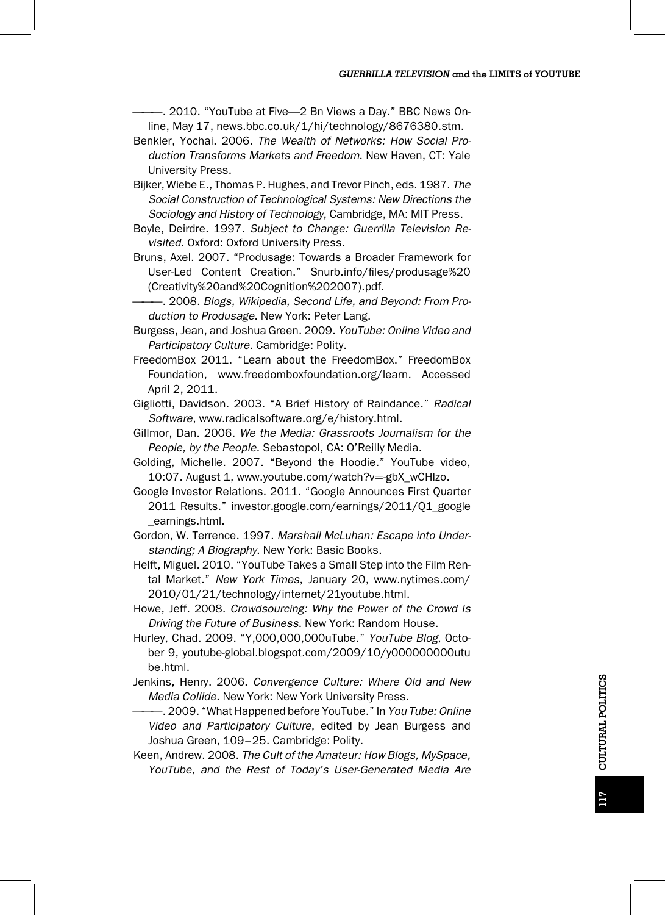-. 2010. "YouTube at Five-- 2 Bn Views a Day." BBC News Online, May 17, news.bbc.co.uk/1/hi/technology/8676380.stm.

- Benkler, Yochai. 2006. The Wealth of Networks: How Social Production Transforms Markets and Freedom. New Haven, CT: Yale University Press.
- Bijker, Wiebe E., Thomas P. Hughes, and Trevor Pinch, eds. 1987. The Social Construction of Technological Systems: New Directions the Sociology and History of Technology, Cambridge, MA: MIT Press.
- Boyle, Deirdre. 1997. Subject to Change: Guerrilla Television Revisited. Oxford: Oxford University Press.
- Bruns, Axel. 2007. "Produsage: Towards a Broader Framework for User-Led Content Creation." Snurb.info/files/produsage%20 (Creativity%20and%20Cognition%202007).pdf.
- -, 2008. Blogs, Wikipedia, Second Life, and Beyond: From Production to Produsage. New York: Peter Lang.
- Burgess, Jean, and Joshua Green. 2009. YouTube: Online Video and Participatory Culture. Cambridge: Polity.
- FreedomBox 2011. "Learn about the FreedomBox." FreedomBox Foundation, www.freedomboxfoundation.org/learn. Accessed April 2, 2011.
- Gigliotti, Davidson. 2003. "A Brief History of Raindance." Radical Software, www.radicalsoftware.org/e/history.html.
- Gillmor, Dan. 2006. We the Media: Grassroots Journalism for the People, by the People. Sebastopol, CA: O'Reilly Media.
- Golding, Michelle. 2007. "Beyond the Hoodie." YouTube video, 10:07. August 1, www.youtube.com/watch?v=-gbX\_wCHlzo.
- Google Investor Relations. 2011. "Google Announces First Quarter 2011 Results." investor.google.com/earnings/2011/Q1\_google \_earnings.html.
- Gordon, W. Terrence. 1997. Marshall McLuhan: Escape into Understanding; A Biography. New York: Basic Books.
- Helft, Miguel. 2010. "YouTube Takes a Small Step into the Film Rental Market." New York Times, January 20, www.nytimes.com/ 2010/01/21/technology/internet/21youtube.html.
- Howe, Jeff. 2008. Crowdsourcing: Why the Power of the Crowd Is Driving the Future of Business. New York: Random House.
- Hurley, Chad. 2009. "Y,000,000,000uTube." YouTube Blog, October 9, youtube-global.blogspot.com/2009/10/y000000000utu be.html.
- Jenkins, Henry. 2006. Convergence Culture: Where Old and New Media Collide. New York: New York University Press.
- -. 2009. "What Happened before YouTube." In You Tube: Online Video and Participatory Culture, edited by Jean Burgess and Joshua Green, 109–25. Cambridge: Polity.
- Keen, Andrew. 2008. The Cult of the Amateur: How Blogs, MySpace, YouTube, and the Rest of Today's User-Generated Media Are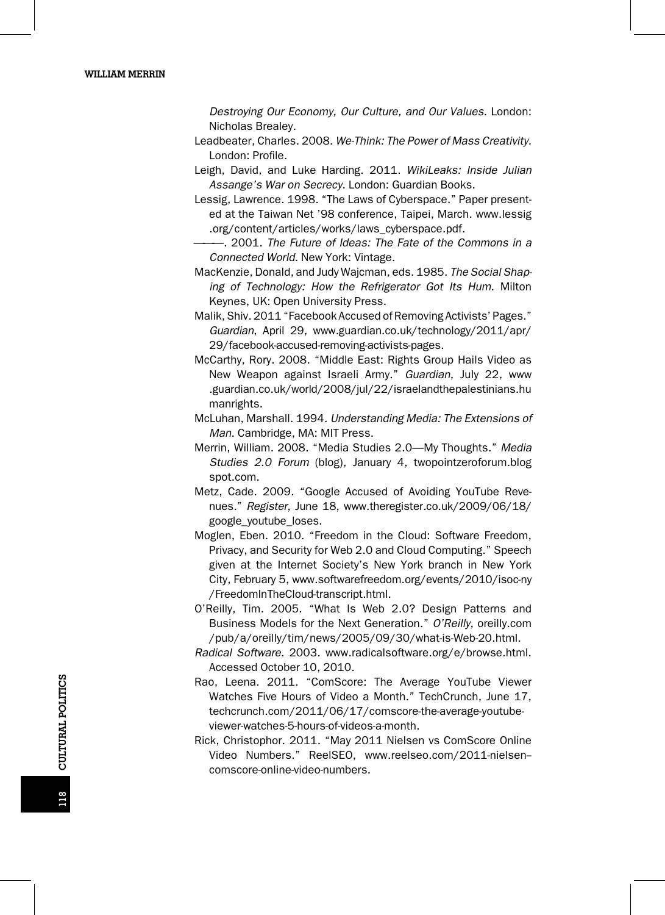Destroying Our Economy, Our Culture, and Our Values. London: Nicholas Brealey.

- Leadbeater, Charles. 2008. We-Think: The Power of Mass Creativity. London: Profile.
- Leigh, David, and Luke Harding. 2011. WikiLeaks: Inside Julian Assange's War on Secrecy. London: Guardian Books.
- Lessig, Lawrence. 1998. "The Laws of Cyberspace." Paper presented at the Taiwan Net '98 conference, Taipei, March. www.lessig .org/content/articles/works/laws\_cyberspace.pdf.
- -. 2001. The Future of Ideas: The Fate of the Commons in a Connected World. New York: Vintage.
- MacKenzie, Donald, and Judy Wajcman, eds. 1985. The Social Shaping of Technology: How the Refrigerator Got Its Hum. Milton Keynes, UK: Open University Press.
- Malik, Shiv. 2011 "Facebook Accused of Removing Activists' Pages." Guardian, April 29, www.guardian.co.uk/technology/2011/apr/ 29/facebook-accused-removing-activists-pages.
- McCarthy, Rory. 2008. "Middle East: Rights Group Hails Video as New Weapon against Israeli Army." Guardian, July 22, www .guardian.co.uk/world/2008/jul/22/israelandthepalestinians.hu manrights.
- McLuhan, Marshall. 1994. Understanding Media: The Extensions of Man. Cambridge, MA: MIT Press.
- Merrin, William. 2008. "Media Studies 2.0—My Thoughts." Media Studies 2.0 Forum (blog), January 4, twopointzeroforum.blog spot.com.
- Metz, Cade. 2009. "Google Accused of Avoiding YouTube Revenues." Register, June 18, www.theregister.co.uk/2009/06/18/ google\_youtube\_loses.
- Moglen, Eben. 2010. "Freedom in the Cloud: Software Freedom, Privacy, and Security for Web 2.0 and Cloud Computing." Speech given at the Internet Society's New York branch in New York City, February 5, www.softwarefreedom.org/events/2010/isoc-ny /FreedomInTheCloud-transcript.html.
- O'Reilly, Tim. 2005. "What Is Web 2.0? Design Patterns and Business Models for the Next Generation." O'Reilly, oreilly.com /pub/a/oreilly/tim/news/2005/09/30/what-is-Web-20.html.
- Radical Software. 2003. www.radicalsoftware.org/e/browse.html. Accessed October 10, 2010.
- Rao, Leena. 2011. "ComScore: The Average YouTube Viewer Watches Five Hours of Video a Month." TechCrunch, June 17, techcrunch.com/2011/06/17/comscore-the-average-youtubeviewer-watches-5-hours-of-videos-a-month.
- Rick, Christophor. 2011. "May 2011 Nielsen vs ComScore Online Video Numbers." ReelSEO, www.reelseo.com/2011-nielsen- comscore-online-video-numbers.